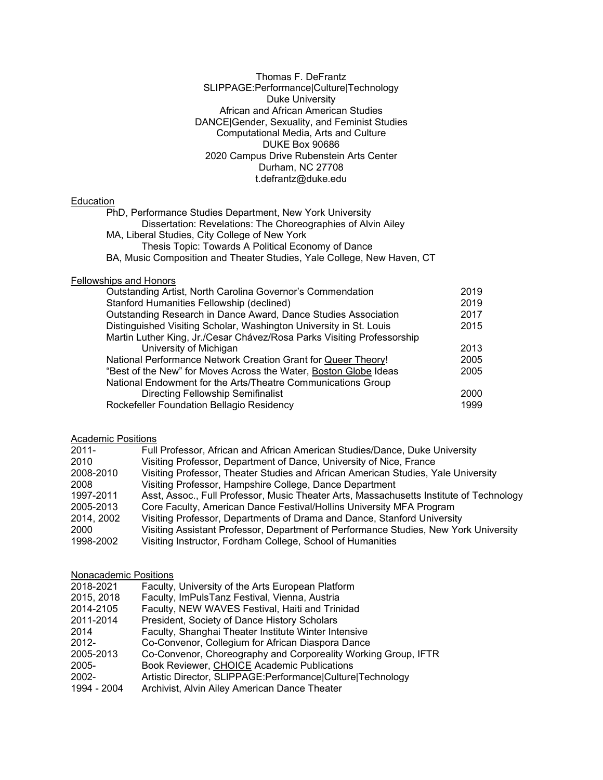Thomas F. DeFrantz SLIPPAGE:Performance|Culture|Technology Duke University African and African American Studies DANCE|Gender, Sexuality, and Feminist Studies Computational Media, Arts and Culture DUKE Box 90686 2020 Campus Drive Rubenstein Arts Center Durham, NC 27708 t.defrantz@duke.edu

## **Education**

PhD, Performance Studies Department, New York University Dissertation: Revelations: The Choreographies of Alvin Ailey MA, Liberal Studies, City College of New York Thesis Topic: Towards A Political Economy of Dance BA, Music Composition and Theater Studies, Yale College, New Haven, CT

#### Fellowships and Honors

| Outstanding Artist, North Carolina Governor's Commendation             | 2019 |
|------------------------------------------------------------------------|------|
| Stanford Humanities Fellowship (declined)                              | 2019 |
| Outstanding Research in Dance Award, Dance Studies Association         | 2017 |
| Distinguished Visiting Scholar, Washington University in St. Louis     | 2015 |
| Martin Luther King, Jr./Cesar Chávez/Rosa Parks Visiting Professorship |      |
| University of Michigan                                                 | 2013 |
| National Performance Network Creation Grant for Queer Theory!          | 2005 |
| "Best of the New" for Moves Across the Water, Boston Globe Ideas       | 2005 |
| National Endowment for the Arts/Theatre Communications Group           |      |
| <b>Directing Fellowship Semifinalist</b>                               | 2000 |
| Rockefeller Foundation Bellagio Residency                              | 1999 |

### **Academic Positions**

| $2011 -$   | Full Professor, African and African American Studies/Dance, Duke University             |
|------------|-----------------------------------------------------------------------------------------|
| 2010       | Visiting Professor, Department of Dance, University of Nice, France                     |
| 2008-2010  | Visiting Professor, Theater Studies and African American Studies, Yale University       |
| 2008       | Visiting Professor, Hampshire College, Dance Department                                 |
| 1997-2011  | Asst, Assoc., Full Professor, Music Theater Arts, Massachusetts Institute of Technology |
| 2005-2013  | Core Faculty, American Dance Festival/Hollins University MFA Program                    |
| 2014, 2002 | Visiting Professor, Departments of Drama and Dance, Stanford University                 |
| 2000       | Visiting Assistant Professor, Department of Performance Studies, New York University    |
| 1998-2002  | Visiting Instructor, Fordham College, School of Humanities                              |

## Nonacademic Positions

| 2018-2021   | Faculty, University of the Arts European Platform              |
|-------------|----------------------------------------------------------------|
| 2015, 2018  | Faculty, ImPulsTanz Festival, Vienna, Austria                  |
| 2014-2105   | Faculty, NEW WAVES Festival, Haiti and Trinidad                |
| 2011-2014   | President, Society of Dance History Scholars                   |
| 2014        | Faculty, Shanghai Theater Institute Winter Intensive           |
| $2012 -$    | Co-Convenor, Collegium for African Diaspora Dance              |
| 2005-2013   | Co-Convenor, Choreography and Corporeality Working Group, IFTR |
| 2005-       | Book Reviewer, CHOICE Academic Publications                    |
| 2002-       | Artistic Director, SLIPPAGE:Performance Culture Technology     |
| 1994 - 2004 | Archivist, Alvin Ailey American Dance Theater                  |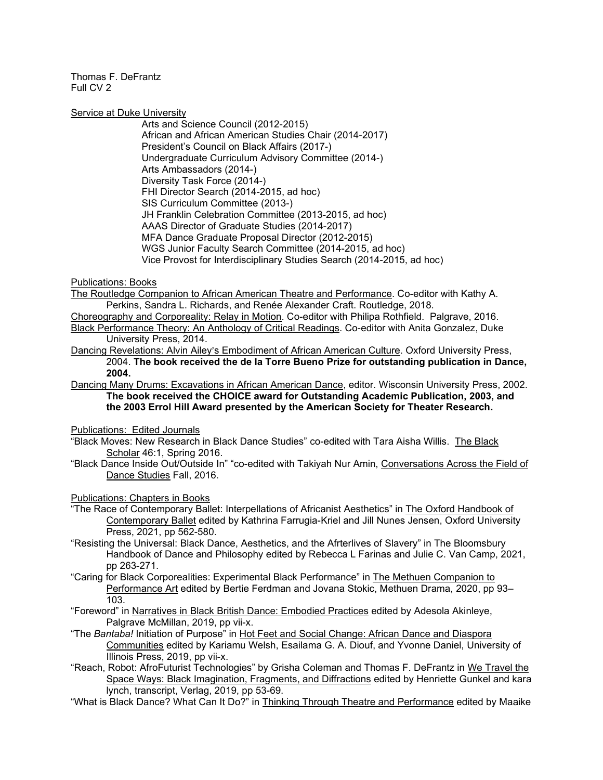Service at Duke University

Arts and Science Council (2012-2015) African and African American Studies Chair (2014-2017) President's Council on Black Affairs (2017-) Undergraduate Curriculum Advisory Committee (2014-) Arts Ambassadors (2014-) Diversity Task Force (2014-) FHI Director Search (2014-2015, ad hoc) SIS Curriculum Committee (2013-) JH Franklin Celebration Committee (2013-2015, ad hoc) AAAS Director of Graduate Studies (2014-2017) MFA Dance Graduate Proposal Director (2012-2015) WGS Junior Faculty Search Committee (2014-2015, ad hoc) Vice Provost for Interdisciplinary Studies Search (2014-2015, ad hoc)

Publications: Books

The Routledge Companion to African American Theatre and Performance. Co-editor with Kathy A. Perkins, Sandra L. Richards, and Renée Alexander Craft. Routledge, 2018.

Choreography and Corporeality: Relay in Motion. Co-editor with Philipa Rothfield. Palgrave, 2016. Black Performance Theory: An Anthology of Critical Readings. Co-editor with Anita Gonzalez, Duke University Press, 2014.

Dancing Revelations: Alvin Ailey's Embodiment of African American Culture. Oxford University Press, 2004. **The book received the de la Torre Bueno Prize for outstanding publication in Dance, 2004.** 

Dancing Many Drums: Excavations in African American Dance, editor. Wisconsin University Press, 2002. **The book received the CHOICE award for Outstanding Academic Publication, 2003, and the 2003 Errol Hill Award presented by the American Society for Theater Research.**

Publications: Edited Journals

"Black Moves: New Research in Black Dance Studies" co-edited with Tara Aisha Willis. The Black Scholar 46:1, Spring 2016.

"Black Dance Inside Out/Outside In" "co-edited with Takiyah Nur Amin, Conversations Across the Field of Dance Studies Fall, 2016.

Publications: Chapters in Books

"The Race of Contemporary Ballet: Interpellations of Africanist Aesthetics" in The Oxford Handbook of Contemporary Ballet edited by Kathrina Farrugia-Kriel and Jill Nunes Jensen, Oxford University Press, 2021, pp 562-580.

"Resisting the Universal: Black Dance, Aesthetics, and the Afrterlives of Slavery" in The Bloomsbury Handbook of Dance and Philosophy edited by Rebecca L Farinas and Julie C. Van Camp, 2021, pp 263-271.

"Caring for Black Corporealities: Experimental Black Performance" in The Methuen Companion to Performance Art edited by Bertie Ferdman and Jovana Stokic, Methuen Drama, 2020, pp 93– 103.

- "Foreword" in Narratives in Black British Dance: Embodied Practices edited by Adesola Akinleye, Palgrave McMillan, 2019, pp vii-x.
- "The *Bantaba!* Initiation of Purpose" in Hot Feet and Social Change: African Dance and Diaspora Communities edited by Kariamu Welsh, Esailama G. A. Diouf, and Yvonne Daniel, University of Illinois Press, 2019, pp vii-x.
- "Reach, Robot: AfroFuturist Technologies" by Grisha Coleman and Thomas F. DeFrantz in We Travel the Space Ways: Black Imagination, Fragments, and Diffractions edited by Henriette Gunkel and kara lynch, transcript, Verlag, 2019, pp 53-69.

"What is Black Dance? What Can It Do?" in Thinking Through Theatre and Performance edited by Maaike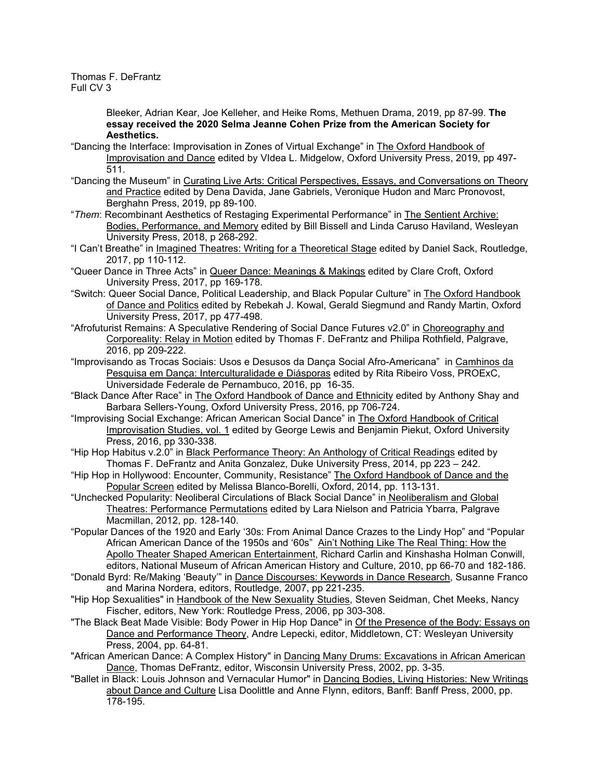> Bleeker, Adrian Kear, Joe Kelleher, and Heike Roms, Methuen Drama, 2019, pp 87-99. **The essay received the 2020 Selma Jeanne Cohen Prize from the American Society for Aesthetics.**

- "Dancing the Interface: Improvisation in Zones of Virtual Exchange" in The Oxford Handbook of Improvisation and Dance edited by VIdea L. Midgelow, Oxford University Press, 2019, pp 497- 511.
- "Dancing the Museum" in Curating Live Arts: Critical Perspectives, Essays, and Conversations on Theory and Practice edited by Dena Davida, Jane Gabriels, Veronique Hudon and Marc Pronovost, Berghahn Press, 2019, pp 89-100.
- "*Them*: Recombinant Aesthetics of Restaging Experimental Performance" in The Sentient Archive: Bodies, Performance, and Memory edited by Bill Bissell and Linda Caruso Haviland, Wesleyan University Press, 2018, p 268-292.
- "I Can't Breathe" in Imagined Theatres: Writing for a Theoretical Stage edited by Daniel Sack, Routledge, 2017, pp 110-112.
- "Queer Dance in Three Acts" in Queer Dance: Meanings & Makings edited by Clare Croft, Oxford University Press, 2017, pp 169-178.
- "Switch: Queer Social Dance, Political Leadership, and Black Popular Culture" in The Oxford Handbook of Dance and Politics edited by Rebekah J. Kowal, Gerald Siegmund and Randy Martin, Oxford University Press, 2017, pp 477-498.
- "Afrofuturist Remains: A Speculative Rendering of Social Dance Futures v2.0" in Choreography and Corporeality: Relay in Motion edited by Thomas F. DeFrantz and Philipa Rothfield, Palgrave, 2016, pp 209-222.
- "Improvisando as Trocas Sociais: Usos e Desusos da Dança Social Afro-Americana" in Camhinos da Pesquisa em Dança: Interculturalidade e Diásporas edited by Rita Ribeiro Voss, PROExC, Universidade Federale de Pernambuco, 2016, pp 16-35.
- "Black Dance After Race" in The Oxford Handbook of Dance and Ethnicity edited by Anthony Shay and Barbara Sellers-Young, Oxford University Press, 2016, pp 706-724.
- "Improvising Social Exchange: African American Social Dance" in The Oxford Handbook of Critical Improvisation Studies, vol. 1 edited by George Lewis and Benjamin Piekut, Oxford University Press, 2016, pp 330-338.
- "Hip Hop Habitus v.2.0" in Black Performance Theory: An Anthology of Critical Readings edited by Thomas F. DeFrantz and Anita Gonzalez, Duke University Press, 2014, pp 223 – 242.
- "Hip Hop in Hollywood: Encounter, Community, Resistance" The Oxford Handbook of Dance and the Popular Screen edited by Melissa Blanco-Borelli, Oxford, 2014, pp. 113-131.
- "Unchecked Popularity: Neoliberal Circulations of Black Social Dance" in Neoliberalism and Global Theatres: Performance Permutations edited by Lara Nielson and Patricia Ybarra, Palgrave Macmillan, 2012, pp. 128-140.
- "Popular Dances of the 1920 and Early '30s: From Animal Dance Crazes to the Lindy Hop" and "Popular African American Dance of the 1950s and '60s" Ain't Nothing Like The Real Thing: How the Apollo Theater Shaped American Entertainment, Richard Carlin and Kinshasha Holman Conwill, editors, National Museum of African American History and Culture, 2010, pp 66-70 and 182-186.
- "Donald Byrd: Re/Making 'Beauty'" in Dance Discourses: Keywords in Dance Research, Susanne Franco and Marina Nordera, editors, Routledge, 2007, pp 221-235.
- "Hip Hop Sexualities" in Handbook of the New Sexuality Studies, Steven Seidman, Chet Meeks, Nancy Fischer, editors, New York: Routledge Press, 2006, pp 303-308.
- "The Black Beat Made Visible: Body Power in Hip Hop Dance" in Of the Presence of the Body: Essays on Dance and Performance Theory, Andre Lepecki, editor, Middletown, CT: Wesleyan University Press, 2004, pp. 64-81.
- "African American Dance: A Complex History" in Dancing Many Drums: Excavations in African American Dance, Thomas DeFrantz, editor, Wisconsin University Press, 2002, pp. 3-35.
- "Ballet in Black: Louis Johnson and Vernacular Humor" in Dancing Bodies, Living Histories: New Writings about Dance and Culture Lisa Doolittle and Anne Flynn, editors, Banff: Banff Press, 2000, pp. 178-195.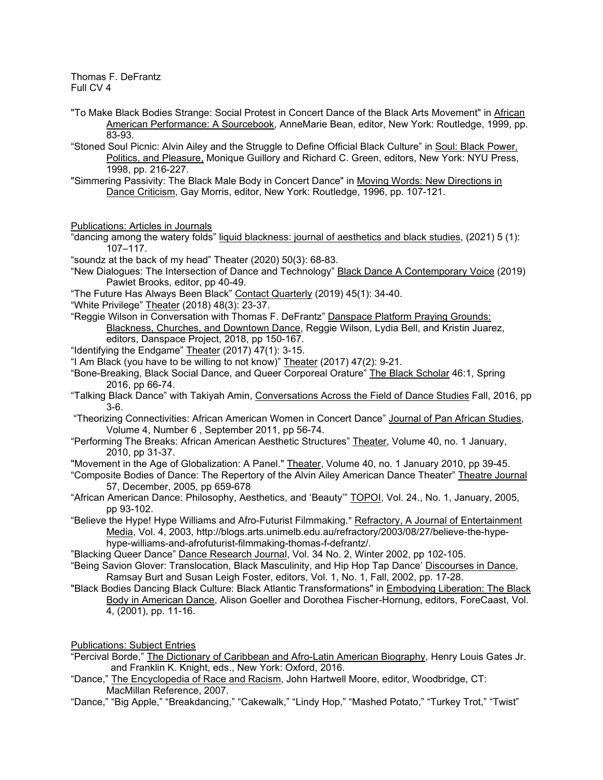- "To Make Black Bodies Strange: Social Protest in Concert Dance of the Black Arts Movement" in African American Performance: A Sourcebook, AnneMarie Bean, editor, New York: Routledge, 1999, pp. 83-93.
- "Stoned Soul Picnic: Alvin Ailey and the Struggle to Define Official Black Culture" in Soul: Black Power, Politics, and Pleasure, Monique Guillory and Richard C. Green, editors, New York: NYU Press, 1998, pp. 216-227.
- "Simmering Passivity: The Black Male Body in Concert Dance" in Moving Words: New Directions in Dance Criticism, Gay Morris, editor, New York: Routledge, 1996, pp. 107-121.

Publications: Articles in Journals

"dancing among the watery folds" liquid blackness: journal of aesthetics and black studies, (2021) 5 (1): 107–117.

"soundz at the back of my head" Theater (2020) 50(3): 68-83.

"New Dialogues: The Intersection of Dance and Technology" Black Dance A Contemporary Voice (2019) Pawlet Brooks, editor, pp 40-49.

- "The Future Has Always Been Black" Contact Quarterly (2019) 45(1): 34-40.
- "White Privilege" Theater (2018) 48(3): 23-37.
- "Reggie Wilson in Conversation with Thomas F. DeFrantz" Danspace Platform Praying Grounds: Blackness, Churches, and Downtown Dance, Reggie Wilson, Lydia Bell, and Kristin Juarez, editors, Danspace Project, 2018, pp 150-167.
- "Identifying the Endgame" Theater (2017) 47(1): 3-15.
- "I Am Black (you have to be willing to not know)" Theater (2017) 47(2): 9-21.
- "Bone-Breaking, Black Social Dance, and Queer Corporeal Orature" The Black Scholar 46:1, Spring 2016, pp 66-74.
- "Talking Black Dance" with Takiyah Amin, Conversations Across the Field of Dance Studies Fall, 2016, pp 3-6.

"Theorizing Connectivities: African American Women in Concert Dance" Journal of Pan African Studies, Volume 4, Number 6 , September 2011, pp 56-74.

- "Performing The Breaks: African American Aesthetic Structures" Theater, Volume 40, no. 1 January, 2010, pp 31-37.
- "Movement in the Age of Globalization: A Panel." Theater, Volume 40, no. 1 January 2010, pp 39-45.
- "Composite Bodies of Dance: The Repertory of the Alvin Ailey American Dance Theater" Theatre Journal 57, December, 2005, pp 659-678

"African American Dance: Philosophy, Aesthetics, and 'Beauty'" TOPOI, Vol. 24., No. 1, January, 2005, pp 93-102.

"Believe the Hype! Hype Williams and Afro-Futurist Filmmaking." Refractory, A Journal of Entertainment Media, Vol. 4, 2003, http://blogs.arts.unimelb.edu.au/refractory/2003/08/27/believe-the-hypehype-williams-and-afrofuturist-filmmaking-thomas-f-defrantz/.

"Blacking Queer Dance" Dance Research Journal, Vol. 34 No. 2, Winter 2002, pp 102-105.

- "Being Savion Glover: Translocation, Black Masculinity, and Hip Hop Tap Dance' Discourses in Dance, Ramsay Burt and Susan Leigh Foster, editors, Vol. 1, No. 1, Fall, 2002, pp. 17-28.
- "Black Bodies Dancing Black Culture: Black Atlantic Transformations" in Embodying Liberation: The Black Body in American Dance, Alison Goeller and Dorothea Fischer-Hornung, editors, ForeCaast, Vol. 4, (2001), pp. 11-16.

Publications: Subject Entries

- "Percival Borde," The Dictionary of Caribbean and Afro-Latin American Biography, Henry Louis Gates Jr. and Franklin K. Knight, eds., New York: Oxford, 2016.
- "Dance," The Encyclopedia of Race and Racism, John Hartwell Moore, editor, Woodbridge, CT: MacMillan Reference, 2007.
- "Dance," "Big Apple," "Breakdancing," "Cakewalk," "Lindy Hop," "Mashed Potato," "Turkey Trot," "Twist"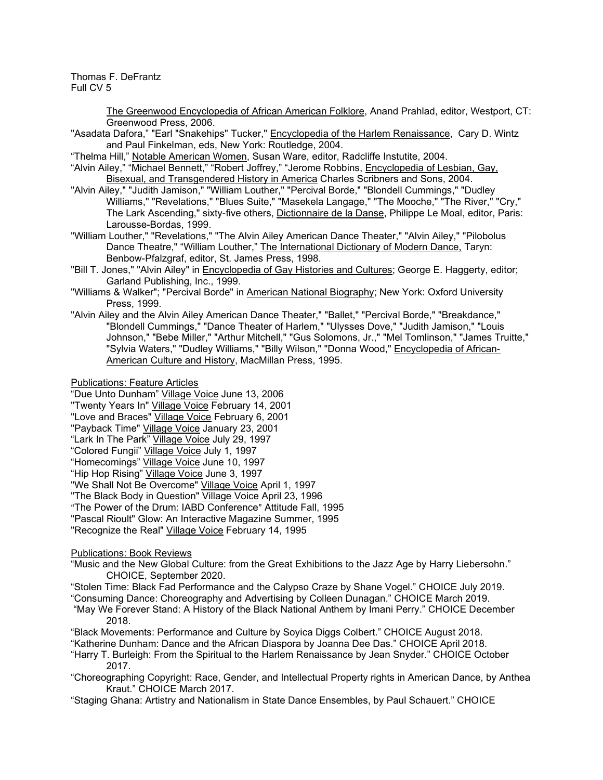> The Greenwood Encyclopedia of African American Folklore, Anand Prahlad, editor, Westport, CT: Greenwood Press, 2006.

"Asadata Dafora," "Earl "Snakehips" Tucker," Encyclopedia of the Harlem Renaissance, Cary D. Wintz and Paul Finkelman, eds, New York: Routledge, 2004.

"Thelma Hill," Notable American Women, Susan Ware, editor, Radcliffe Instutite, 2004.

- "Alvin Ailey," "Michael Bennett," "Robert Joffrey," "Jerome Robbins, Encyclopedia of Lesbian, Gay, Bisexual, and Transgendered History in America Charles Scribners and Sons, 2004.
- "Alvin Ailey," "Judith Jamison," "William Louther," "Percival Borde," "Blondell Cummings," "Dudley Williams," "Revelations," "Blues Suite," "Masekela Langage," "The Mooche," "The River," "Cry," The Lark Ascending," sixty-five others, <u>Dictionnaire de la Danse</u>, Philippe Le Moal, editor, Paris: Larousse-Bordas, 1999.
- "William Louther," "Revelations," "The Alvin Ailey American Dance Theater," "Alvin Ailey," "Pilobolus Dance Theatre," "William Louther," The International Dictionary of Modern Dance, Taryn: Benbow-Pfalzgraf, editor, St. James Press, 1998.
- "Bill T. Jones," "Alvin Ailey" in Encyclopedia of Gay Histories and Cultures; George E. Haggerty, editor; Garland Publishing, Inc., 1999.
- "Williams & Walker"; "Percival Borde" in American National Biography; New York: Oxford University Press, 1999.
- "Alvin Ailey and the Alvin Ailey American Dance Theater," "Ballet," "Percival Borde," "Breakdance," "Blondell Cummings," "Dance Theater of Harlem," "Ulysses Dove," "Judith Jamison," "Louis Johnson," "Bebe Miller," "Arthur Mitchell," "Gus Solomons, Jr.," "Mel Tomlinson," "James Truitte," "Sylvia Waters," "Dudley Williams," "Billy Wilson," "Donna Wood," Encyclopedia of African-American Culture and History, MacMillan Press, 1995.
- Publications: Feature Articles

"Due Unto Dunham" Village Voice June 13, 2006

"Twenty Years In" Village Voice February 14, 2001

"Love and Braces" Village Voice February 6, 2001

- "Payback Time" Village Voice January 23, 2001
- "Lark In The Park" Village Voice July 29, 1997 "Colored Fungii" Village Voice July 1, 1997

"Homecomings" Village Voice June 10, 1997

"Hip Hop Rising" Village Voice June 3, 1997 "We Shall Not Be Overcome" Village Voice April 1, 1997

"The Black Body in Question" Village Voice April 23, 1996

"The Power of the Drum: IABD Conference" Attitude Fall, 1995

"Pascal Rioult" Glow: An Interactive Magazine Summer, 1995

"Recognize the Real" Village Voice February 14, 1995

## Publications: Book Reviews

- "Music and the New Global Culture: from the Great Exhibitions to the Jazz Age by Harry Liebersohn." CHOICE, September 2020.
- "Stolen Time: Black Fad Performance and the Calypso Craze by Shane Vogel." CHOICE July 2019.

"Consuming Dance: Choreography and Advertising by Colleen Dunagan." CHOICE March 2019.

- "May We Forever Stand: A History of the Black National Anthem by Imani Perry." CHOICE December 2018.
- "Black Movements: Performance and Culture by Soyica Diggs Colbert." CHOICE August 2018.

"Katherine Dunham: Dance and the African Diaspora by Joanna Dee Das." CHOICE April 2018.

"Harry T. Burleigh: From the Spiritual to the Harlem Renaissance by Jean Snyder." CHOICE October 2017.

- "Choreographing Copyright: Race, Gender, and Intellectual Property rights in American Dance, by Anthea Kraut." CHOICE March 2017.
- "Staging Ghana: Artistry and Nationalism in State Dance Ensembles, by Paul Schauert." CHOICE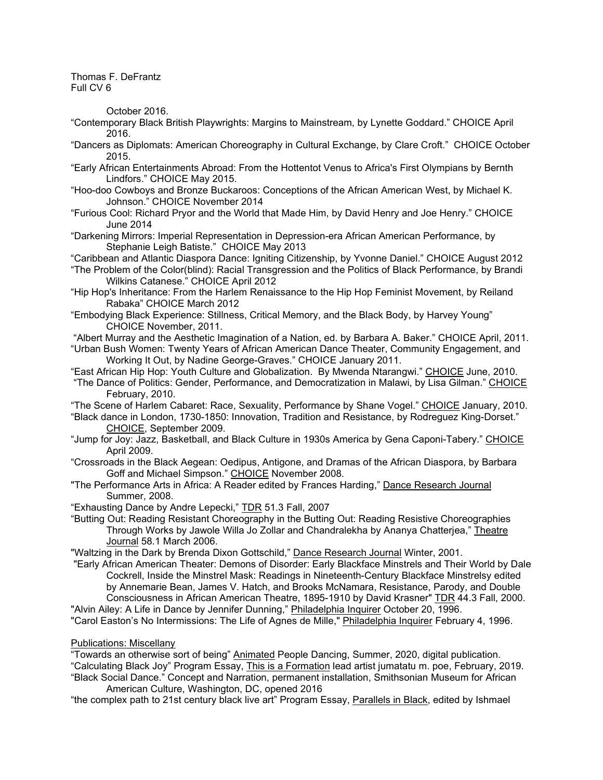October 2016.

- "Contemporary Black British Playwrights: Margins to Mainstream, by Lynette Goddard." CHOICE April 2016.
- "Dancers as Diplomats: American Choreography in Cultural Exchange, by Clare Croft." CHOICE October 2015.
- "Early African Entertainments Abroad: From the Hottentot Venus to Africa's First Olympians by Bernth Lindfors." CHOICE May 2015.
- "Hoo-doo Cowboys and Bronze Buckaroos: Conceptions of the African American West, by Michael K. Johnson." CHOICE November 2014
- "Furious Cool: Richard Pryor and the World that Made Him, by David Henry and Joe Henry." CHOICE June 2014
- "Darkening Mirrors: Imperial Representation in Depression-era African American Performance, by Stephanie Leigh Batiste." CHOICE May 2013
- "Caribbean and Atlantic Diaspora Dance: Igniting Citizenship, by Yvonne Daniel." CHOICE August 2012
- "The Problem of the Color(blind): Racial Transgression and the Politics of Black Performance, by Brandi Wilkins Catanese." CHOICE April 2012
- "Hip Hop's Inheritance: From the Harlem Renaissance to the Hip Hop Feminist Movement, by Reiland Rabaka" CHOICE March 2012
- "Embodying Black Experience: Stillness, Critical Memory, and the Black Body, by Harvey Young" CHOICE November, 2011.
- "Albert Murray and the Aesthetic Imagination of a Nation, ed. by Barbara A. Baker." CHOICE April, 2011.
- "Urban Bush Women: Twenty Years of African American Dance Theater, Community Engagement, and Working It Out, by Nadine George-Graves." CHOICE January 2011.

"East African Hip Hop: Youth Culture and Globalization. By Mwenda Ntarangwi." CHOICE June, 2010. "The Dance of Politics: Gender, Performance, and Democratization in Malawi, by Lisa Gilman." CHOICE February, 2010.

"The Scene of Harlem Cabaret: Race, Sexuality, Performance by Shane Vogel." CHOICE January, 2010.

- "Black dance in London, 1730-1850: Innovation, Tradition and Resistance, by Rodreguez King-Dorset." CHOICE, September 2009.
- "Jump for Joy: Jazz, Basketball, and Black Culture in 1930s America by Gena Caponi-Tabery." CHOICE April 2009.
- "Crossroads in the Black Aegean: Oedipus, Antigone, and Dramas of the African Diaspora, by Barbara Goff and Michael Simpson." CHOICE November 2008.
- "The Performance Arts in Africa: A Reader edited by Frances Harding," Dance Research Journal Summer, 2008.

"Exhausting Dance by Andre Lepecki," TDR 51.3 Fall, 2007

"Butting Out: Reading Resistant Choreography in the Butting Out: Reading Resistive Choreographies Through Works by Jawole Willa Jo Zollar and Chandralekha by Ananya Chatterjea," Theatre Journal 58.1 March 2006.

"Waltzing in the Dark by Brenda Dixon Gottschild," Dance Research Journal Winter, 2001.

"Early African American Theater: Demons of Disorder: Early Blackface Minstrels and Their World by Dale Cockrell, Inside the Minstrel Mask: Readings in Nineteenth-Century Blackface Minstrelsy edited by Annemarie Bean, James V. Hatch, and Brooks McNamara, Resistance, Parody, and Double Consciousness in African American Theatre, 1895-1910 by David Krasner" TDR 44.3 Fall, 2000.

"Alvin Ailey: A Life in Dance by Jennifer Dunning," Philadelphia Inquirer October 20, 1996. "Carol Easton's No Intermissions: The Life of Agnes de Mille," Philadelphia Inquirer February 4, 1996.

#### Publications: Miscellany

"Towards an otherwise sort of being" Animated People Dancing, Summer, 2020, digital publication. "Calculating Black Joy" Program Essay, This is a Formation lead artist jumatatu m. poe, February, 2019. "Black Social Dance." Concept and Narration, permanent installation, Smithsonian Museum for African

American Culture, Washington, DC, opened 2016

"the complex path to 21st century black live art" Program Essay, Parallels in Black, edited by Ishmael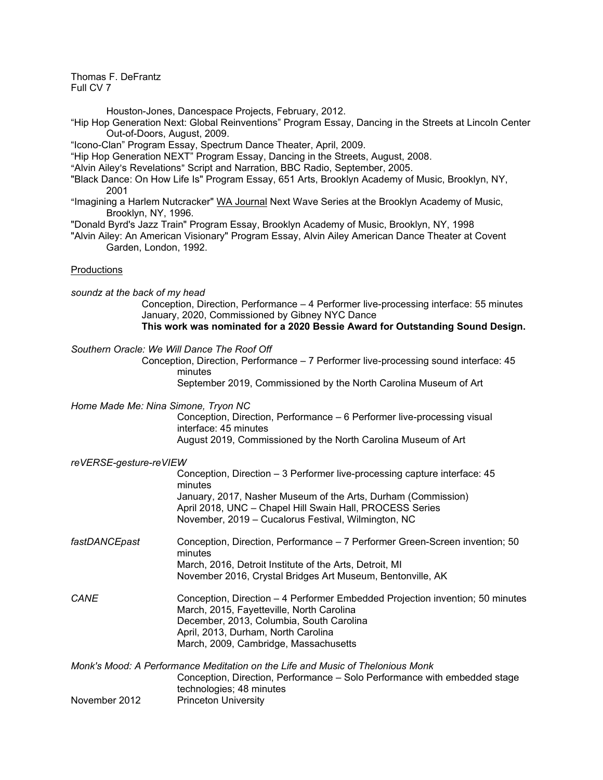Houston-Jones, Dancespace Projects, February, 2012.

- "Hip Hop Generation Next: Global Reinventions" Program Essay, Dancing in the Streets at Lincoln Center Out-of-Doors, August, 2009.
- "Icono-Clan" Program Essay, Spectrum Dance Theater, April, 2009.
- "Hip Hop Generation NEXT" Program Essay, Dancing in the Streets, August, 2008.
- "Alvin Ailey's Revelations" Script and Narration, BBC Radio, September, 2005.
- "Black Dance: On How Life Is" Program Essay, 651 Arts, Brooklyn Academy of Music, Brooklyn, NY, 2001
- "Imagining a Harlem Nutcracker" WA Journal Next Wave Series at the Brooklyn Academy of Music, Brooklyn, NY, 1996.
- "Donald Byrd's Jazz Train" Program Essay, Brooklyn Academy of Music, Brooklyn, NY, 1998
- "Alvin Ailey: An American Visionary" Program Essay, Alvin Ailey American Dance Theater at Covent Garden, London, 1992.

#### **Productions**

- *soundz at the back of my head* Conception, Direction, Performance – 4 Performer live-processing interface: 55 minutes January, 2020, Commissioned by Gibney NYC Dance **This work was nominated for a 2020 Bessie Award for Outstanding Sound Design.**
- *Southern Oracle: We Will Dance The Roof Off*

Conception, Direction, Performance – 7 Performer live-processing sound interface: 45 minutes

September 2019, Commissioned by the North Carolina Museum of Art

*Home Made Me: Nina Simone, Tryon NC*

Conception, Direction, Performance – 6 Performer live-processing visual interface: 45 minutes August 2019, Commissioned by the North Carolina Museum of Art

#### *reVERSE-gesture-reVIEW*

|         | Conception, Direction – 3 Performer live-processing capture interface: 45 |
|---------|---------------------------------------------------------------------------|
| minutes |                                                                           |
|         | January, 2017, Nasher Museum of the Arts, Durham (Commission)             |
|         | April 2018, UNC - Chapel Hill Swain Hall, PROCESS Series                  |
|         | November, 2019 - Cucalorus Festival, Wilmington, NC                       |

- *fastDANCEpast* Conception, Direction, Performance 7 Performer Green-Screen invention; 50 minutes March, 2016, Detroit Institute of the Arts, Detroit, MI November 2016, Crystal Bridges Art Museum, Bentonville, AK
- *CANE* Conception, Direction 4 Performer Embedded Projection invention; 50 minutes March, 2015, Fayetteville, North Carolina December, 2013, Columbia, South Carolina April, 2013, Durham, North Carolina March, 2009, Cambridge, Massachusetts

*Monk's Mood: A Performance Meditation on the Life and Music of Thelonious Monk* Conception, Direction, Performance – Solo Performance with embedded stage technologies; 48 minutes November 2012 Princeton University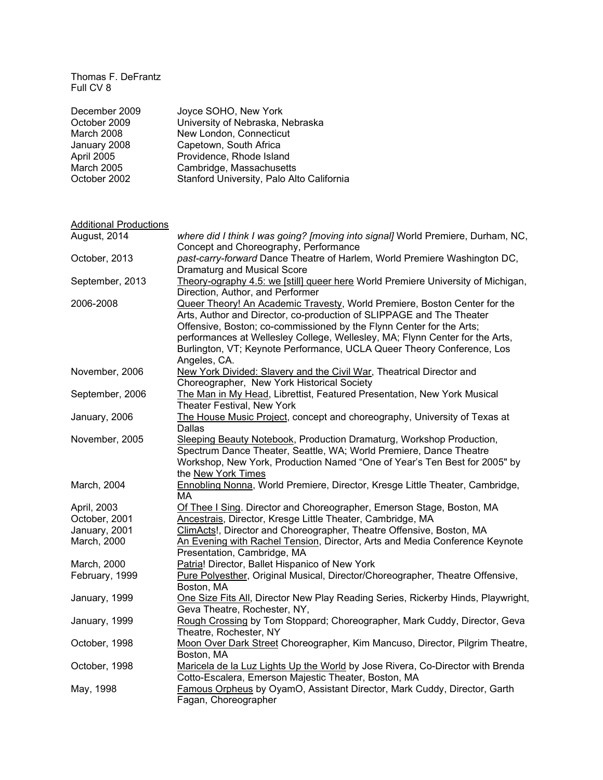| December 2009     | Joyce SOHO, New York                      |
|-------------------|-------------------------------------------|
| October 2009      | University of Nebraska, Nebraska          |
| March 2008        | New London, Connecticut                   |
| January 2008      | Capetown, South Africa                    |
| April 2005        | Providence, Rhode Island                  |
| <b>March 2005</b> | Cambridge, Massachusetts                  |
| October 2002      | Stanford University, Palo Alto California |

| <b>Additional Productions</b> |                                                                                                                                                                                                                                                                                                                                                                                                     |
|-------------------------------|-----------------------------------------------------------------------------------------------------------------------------------------------------------------------------------------------------------------------------------------------------------------------------------------------------------------------------------------------------------------------------------------------------|
| August, 2014                  | where did I think I was going? [moving into signal] World Premiere, Durham, NC,<br>Concept and Choreography, Performance                                                                                                                                                                                                                                                                            |
| October, 2013                 | past-carry-forward Dance Theatre of Harlem, World Premiere Washington DC,<br><b>Dramaturg and Musical Score</b>                                                                                                                                                                                                                                                                                     |
| September, 2013               | Theory-ography 4.5: we [still] queer here World Premiere University of Michigan,<br>Direction, Author, and Performer                                                                                                                                                                                                                                                                                |
| 2006-2008                     | Queer Theory! An Academic Travesty, World Premiere, Boston Center for the<br>Arts, Author and Director, co-production of SLIPPAGE and The Theater<br>Offensive, Boston; co-commissioned by the Flynn Center for the Arts;<br>performances at Wellesley College, Wellesley, MA; Flynn Center for the Arts,<br>Burlington, VT; Keynote Performance, UCLA Queer Theory Conference, Los<br>Angeles, CA. |
| November, 2006                | New York Divided: Slavery and the Civil War, Theatrical Director and<br>Choreographer, New York Historical Society                                                                                                                                                                                                                                                                                  |
| September, 2006               | The Man in My Head, Librettist, Featured Presentation, New York Musical<br>Theater Festival, New York                                                                                                                                                                                                                                                                                               |
| January, 2006                 | The House Music Project, concept and choreography, University of Texas at<br><b>Dallas</b>                                                                                                                                                                                                                                                                                                          |
| November, 2005                | Sleeping Beauty Notebook, Production Dramaturg, Workshop Production,<br>Spectrum Dance Theater, Seattle, WA; World Premiere, Dance Theatre<br>Workshop, New York, Production Named "One of Year's Ten Best for 2005" by<br>the New York Times                                                                                                                                                       |
| March, 2004                   | Ennobling Nonna, World Premiere, Director, Kresge Little Theater, Cambridge,<br>MA                                                                                                                                                                                                                                                                                                                  |
| April, 2003                   | Of Thee I Sing. Director and Choreographer, Emerson Stage, Boston, MA                                                                                                                                                                                                                                                                                                                               |
| October, 2001                 | Ancestrais, Director, Kresge Little Theater, Cambridge, MA                                                                                                                                                                                                                                                                                                                                          |
| January, 2001                 | ClimActs!, Director and Choreographer, Theatre Offensive, Boston, MA                                                                                                                                                                                                                                                                                                                                |
| March, 2000                   | An Evening with Rachel Tension, Director, Arts and Media Conference Keynote<br>Presentation, Cambridge, MA                                                                                                                                                                                                                                                                                          |
| March, 2000                   | Patria! Director, Ballet Hispanico of New York                                                                                                                                                                                                                                                                                                                                                      |
| February, 1999                | Pure Polyesther, Original Musical, Director/Choreographer, Theatre Offensive,<br>Boston, MA                                                                                                                                                                                                                                                                                                         |
| January, 1999                 | One Size Fits All, Director New Play Reading Series, Rickerby Hinds, Playwright,<br>Geva Theatre, Rochester, NY,                                                                                                                                                                                                                                                                                    |
| January, 1999                 | Rough Crossing by Tom Stoppard; Choreographer, Mark Cuddy, Director, Geva<br>Theatre, Rochester, NY                                                                                                                                                                                                                                                                                                 |
| October, 1998                 | Moon Over Dark Street Choreographer, Kim Mancuso, Director, Pilgrim Theatre,<br>Boston, MA                                                                                                                                                                                                                                                                                                          |
| October, 1998                 | Maricela de la Luz Lights Up the World by Jose Rivera, Co-Director with Brenda<br>Cotto-Escalera, Emerson Majestic Theater, Boston, MA                                                                                                                                                                                                                                                              |
| May, 1998                     | Famous Orpheus by OyamO, Assistant Director, Mark Cuddy, Director, Garth<br>Fagan, Choreographer                                                                                                                                                                                                                                                                                                    |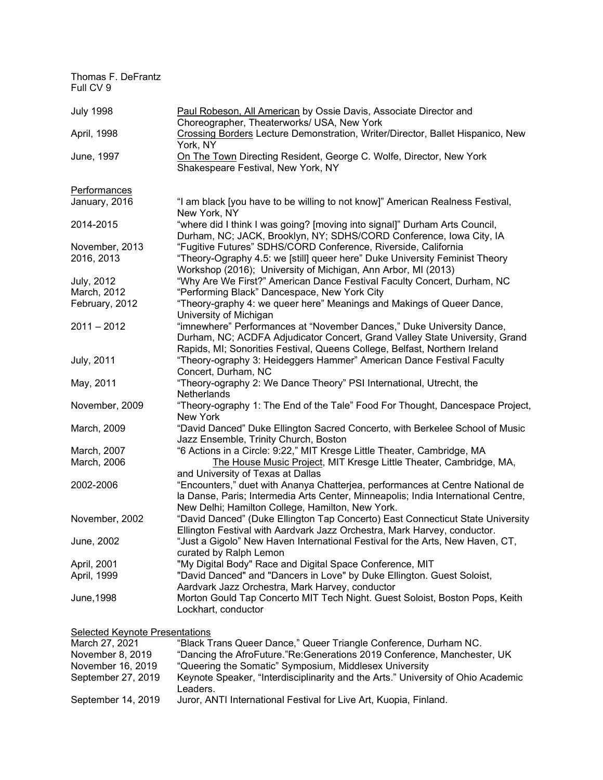| Paul Robeson, All American by Ossie Davis, Associate Director and<br>Choreographer, Theaterworks/ USA, New York                                                                                                                    |
|------------------------------------------------------------------------------------------------------------------------------------------------------------------------------------------------------------------------------------|
| Crossing Borders Lecture Demonstration, Writer/Director, Ballet Hispanico, New<br>York, NY                                                                                                                                         |
| On The Town Directing Resident, George C. Wolfe, Director, New York<br>Shakespeare Festival, New York, NY                                                                                                                          |
|                                                                                                                                                                                                                                    |
| "I am black [you have to be willing to not know]" American Realness Festival,<br>New York, NY                                                                                                                                      |
| "where did I think I was going? [moving into signal]" Durham Arts Council,<br>Durham, NC; JACK, Brooklyn, NY; SDHS/CORD Conference, Iowa City, IA                                                                                  |
| "Fugitive Futures" SDHS/CORD Conference, Riverside, California                                                                                                                                                                     |
| "Theory-Ography 4.5: we [still] queer here" Duke University Feminist Theory<br>Workshop (2016); University of Michigan, Ann Arbor, MI (2013)                                                                                       |
| "Why Are We First?" American Dance Festival Faculty Concert, Durham, NC                                                                                                                                                            |
| "Performing Black" Dancespace, New York City                                                                                                                                                                                       |
| "Theory-graphy 4: we queer here" Meanings and Makings of Queer Dance,<br>University of Michigan                                                                                                                                    |
| "imnewhere" Performances at "November Dances," Duke University Dance,<br>Durham, NC; ACDFA Adjudicator Concert, Grand Valley State University, Grand<br>Rapids, MI; Sonorities Festival, Queens College, Belfast, Northern Ireland |
| "Theory-ography 3: Heideggers Hammer" American Dance Festival Faculty<br>Concert, Durham, NC                                                                                                                                       |
| "Theory-ography 2: We Dance Theory" PSI International, Utrecht, the<br>Netherlands                                                                                                                                                 |
| "Theory-ography 1: The End of the Tale" Food For Thought, Dancespace Project,<br>New York                                                                                                                                          |
| "David Danced" Duke Ellington Sacred Concerto, with Berkelee School of Music<br>Jazz Ensemble, Trinity Church, Boston                                                                                                              |
| "6 Actions in a Circle: 9:22," MIT Kresge Little Theater, Cambridge, MA                                                                                                                                                            |
| The House Music Project, MIT Kresge Little Theater, Cambridge, MA,<br>and University of Texas at Dallas                                                                                                                            |
| "Encounters," duet with Ananya Chatterjea, performances at Centre National de<br>la Danse, Paris; Intermedia Arts Center, Minneapolis; India International Centre,<br>New Delhi; Hamilton College, Hamilton, New York.             |
| "David Danced" (Duke Ellington Tap Concerto) East Connecticut State University<br>Ellington Festival with Aardvark Jazz Orchestra, Mark Harvey, conductor.                                                                         |
| "Just a Gigolo" New Haven International Festival for the Arts, New Haven, CT,<br>curated by Ralph Lemon                                                                                                                            |
| "My Digital Body" Race and Digital Space Conference, MIT                                                                                                                                                                           |
| "David Danced" and "Dancers in Love" by Duke Ellington. Guest Soloist,<br>Aardvark Jazz Orchestra, Mark Harvey, conductor                                                                                                          |
| Morton Gould Tap Concerto MIT Tech Night. Guest Soloist, Boston Pops, Keith<br>Lockhart, conductor                                                                                                                                 |
|                                                                                                                                                                                                                                    |

Selected Keynote Presentations

| March 27, 2021     | "Black Trans Queer Dance," Queer Triangle Conference, Durham NC.                             |
|--------------------|----------------------------------------------------------------------------------------------|
| November 8, 2019   | "Dancing the AfroFuture."Re:Generations 2019 Conference, Manchester, UK                      |
| November 16, 2019  | "Queering the Somatic" Symposium, Middlesex University                                       |
| September 27, 2019 | Keynote Speaker, "Interdisciplinarity and the Arts." University of Ohio Academic<br>Leaders. |
| September 14, 2019 | Juror, ANTI International Festival for Live Art, Kuopia, Finland.                            |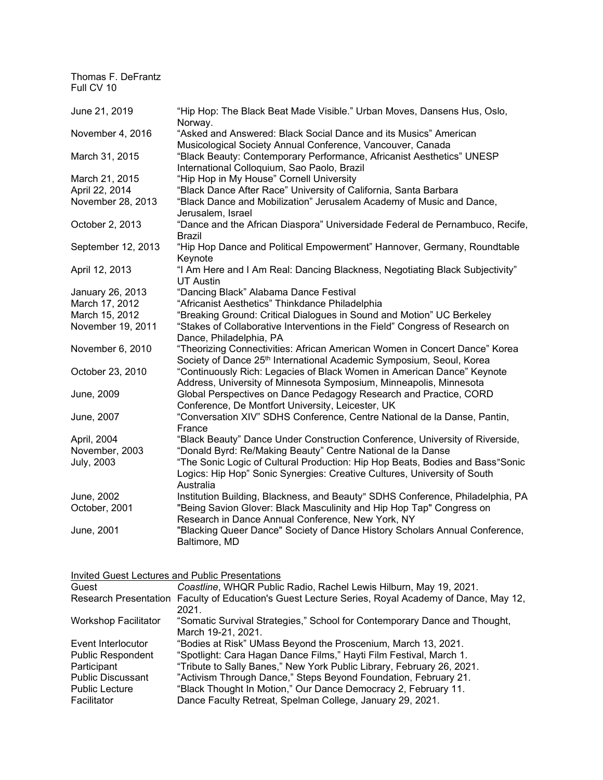| Thomas F. DeFrantz<br>Full CV 10 |                                                                                                                                                                        |
|----------------------------------|------------------------------------------------------------------------------------------------------------------------------------------------------------------------|
| June 21, 2019                    | "Hip Hop: The Black Beat Made Visible." Urban Moves, Dansens Hus, Oslo,<br>Norway.                                                                                     |
| November 4, 2016                 | "Asked and Answered: Black Social Dance and its Musics" American<br>Musicological Society Annual Conference, Vancouver, Canada                                         |
| March 31, 2015                   | "Black Beauty: Contemporary Performance, Africanist Aesthetics" UNESP<br>International Colloquium, Sao Paolo, Brazil                                                   |
| March 21, 2015                   | "Hip Hop in My House" Cornell University                                                                                                                               |
| April 22, 2014                   | "Black Dance After Race" University of California, Santa Barbara                                                                                                       |
| November 28, 2013                | "Black Dance and Mobilization" Jerusalem Academy of Music and Dance,<br>Jerusalem, Israel                                                                              |
| October 2, 2013                  | "Dance and the African Diaspora" Universidade Federal de Pernambuco, Recife,<br>Brazil                                                                                 |
| September 12, 2013               | "Hip Hop Dance and Political Empowerment" Hannover, Germany, Roundtable<br>Keynote                                                                                     |
| April 12, 2013                   | "I Am Here and I Am Real: Dancing Blackness, Negotiating Black Subjectivity"<br><b>UT Austin</b>                                                                       |
| January 26, 2013                 | "Dancing Black" Alabama Dance Festival                                                                                                                                 |
| March 17, 2012                   | "Africanist Aesthetics" Thinkdance Philadelphia                                                                                                                        |
| March 15, 2012                   | "Breaking Ground: Critical Dialogues in Sound and Motion" UC Berkeley                                                                                                  |
| November 19, 2011                | "Stakes of Collaborative Interventions in the Field" Congress of Research on<br>Dance, Philadelphia, PA                                                                |
| November 6, 2010                 | "Theorizing Connectivities: African American Women in Concert Dance" Korea<br>Society of Dance 25 <sup>th</sup> International Academic Symposium, Seoul, Korea         |
| October 23, 2010                 | "Continuously Rich: Legacies of Black Women in American Dance" Keynote<br>Address, University of Minnesota Symposium, Minneapolis, Minnesota                           |
| June, 2009                       | Global Perspectives on Dance Pedagogy Research and Practice, CORD<br>Conference, De Montfort University, Leicester, UK                                                 |
| June, 2007                       | "Conversation XIV" SDHS Conference, Centre National de la Danse, Pantin,<br>France                                                                                     |
| April, 2004                      | "Black Beauty" Dance Under Construction Conference, University of Riverside,                                                                                           |
| November, 2003                   | "Donald Byrd: Re/Making Beauty" Centre National de la Danse                                                                                                            |
| <b>July, 2003</b>                | "The Sonic Logic of Cultural Production: Hip Hop Beats, Bodies and Bass"Sonic<br>Logics: Hip Hop" Sonic Synergies: Creative Cultures, University of South<br>Australia |
| June, 2002<br>October, 2001      | Institution Building, Blackness, and Beauty" SDHS Conference, Philadelphia, PA<br>"Being Savion Glover: Black Masculinity and Hip Hop Tap" Congress on                 |
| June, 2001                       | Research in Dance Annual Conference, New York, NY<br>"Blacking Queer Dance" Society of Dance History Scholars Annual Conference,<br>Baltimore, MD                      |

| Invited Guest Lectures and Public Presentations |  |
|-------------------------------------------------|--|
|                                                 |  |

| Guest                       | Coastline, WHQR Public Radio, Rachel Lewis Hilburn, May 19, 2021.                                  |
|-----------------------------|----------------------------------------------------------------------------------------------------|
|                             | Research Presentation Faculty of Education's Guest Lecture Series, Royal Academy of Dance, May 12, |
|                             | 2021.                                                                                              |
| <b>Workshop Facilitator</b> | "Somatic Survival Strategies," School for Contemporary Dance and Thought,                          |
|                             | March 19-21, 2021.                                                                                 |
| Event Interlocutor          | "Bodies at Risk" UMass Beyond the Proscenium, March 13, 2021.                                      |
| <b>Public Respondent</b>    | "Spotlight: Cara Hagan Dance Films," Hayti Film Festival, March 1.                                 |
| Participant                 | "Tribute to Sally Banes," New York Public Library, February 26, 2021.                              |
| <b>Public Discussant</b>    | "Activism Through Dance," Steps Beyond Foundation, February 21.                                    |
| <b>Public Lecture</b>       | "Black Thought In Motion," Our Dance Democracy 2, February 11.                                     |
| Facilitator                 | Dance Faculty Retreat, Spelman College, January 29, 2021.                                          |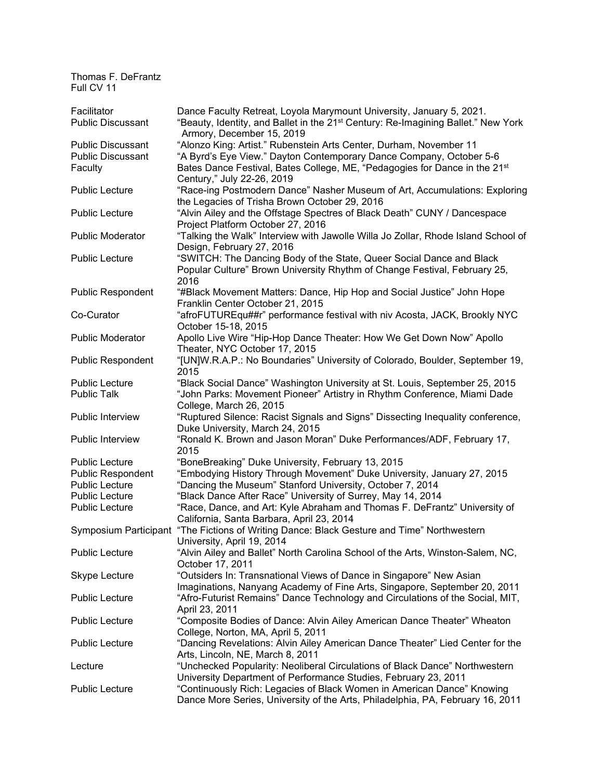| Facilitator              | Dance Faculty Retreat, Loyola Marymount University, January 5, 2021.                                                                                      |
|--------------------------|-----------------------------------------------------------------------------------------------------------------------------------------------------------|
| <b>Public Discussant</b> | "Beauty, Identity, and Ballet in the 21 <sup>st</sup> Century: Re-Imagining Ballet." New York<br>Armory, December 15, 2019                                |
| <b>Public Discussant</b> | "Alonzo King: Artist." Rubenstein Arts Center, Durham, November 11                                                                                        |
| <b>Public Discussant</b> | "A Byrd's Eye View." Dayton Contemporary Dance Company, October 5-6                                                                                       |
| Faculty                  | Bates Dance Festival, Bates College, ME, "Pedagogies for Dance in the 21 <sup>st</sup><br>Century," July 22-26, 2019                                      |
| <b>Public Lecture</b>    | "Race-ing Postmodern Dance" Nasher Museum of Art, Accumulations: Exploring<br>the Legacies of Trisha Brown October 29, 2016                               |
| <b>Public Lecture</b>    | "Alvin Ailey and the Offstage Spectres of Black Death" CUNY / Dancespace<br>Project Platform October 27, 2016                                             |
| <b>Public Moderator</b>  | "Talking the Walk" Interview with Jawolle Willa Jo Zollar, Rhode Island School of<br>Design, February 27, 2016                                            |
| <b>Public Lecture</b>    | "SWITCH: The Dancing Body of the State, Queer Social Dance and Black<br>Popular Culture" Brown University Rhythm of Change Festival, February 25,<br>2016 |
| <b>Public Respondent</b> | "#Black Movement Matters: Dance, Hip Hop and Social Justice" John Hope<br>Franklin Center October 21, 2015                                                |
| Co-Curator               | "afroFUTUREqu##r" performance festival with niv Acosta, JACK, Brookly NYC<br>October 15-18, 2015                                                          |
| <b>Public Moderator</b>  | Apollo Live Wire "Hip-Hop Dance Theater: How We Get Down Now" Apollo<br>Theater, NYC October 17, 2015                                                     |
| Public Respondent        | "[UN]W.R.A.P.: No Boundaries" University of Colorado, Boulder, September 19,<br>2015                                                                      |
| <b>Public Lecture</b>    | "Black Social Dance" Washington University at St. Louis, September 25, 2015                                                                               |
| <b>Public Talk</b>       | "John Parks: Movement Pioneer" Artistry in Rhythm Conference, Miami Dade<br>College, March 26, 2015                                                       |
| Public Interview         | "Ruptured Silence: Racist Signals and Signs" Dissecting Inequality conference,<br>Duke University, March 24, 2015                                         |
| Public Interview         | "Ronald K. Brown and Jason Moran" Duke Performances/ADF, February 17,<br>2015                                                                             |
| <b>Public Lecture</b>    | "BoneBreaking" Duke University, February 13, 2015                                                                                                         |
| <b>Public Respondent</b> | "Embodying History Through Movement" Duke University, January 27, 2015                                                                                    |
| <b>Public Lecture</b>    | "Dancing the Museum" Stanford University, October 7, 2014                                                                                                 |
| Public Lecture           | "Black Dance After Race" University of Surrey, May 14, 2014                                                                                               |
| <b>Public Lecture</b>    | "Race, Dance, and Art: Kyle Abraham and Thomas F. DeFrantz" University of                                                                                 |
|                          | California, Santa Barbara, April 23, 2014                                                                                                                 |
| Symposium Participant    | "The Fictions of Writing Dance: Black Gesture and Time" Northwestern                                                                                      |
| <b>Public Lecture</b>    | University, April 19, 2014                                                                                                                                |
|                          | "Alvin Ailey and Ballet" North Carolina School of the Arts, Winston-Salem, NC,<br>October 17, 2011                                                        |
| Skype Lecture            | "Outsiders In: Transnational Views of Dance in Singapore" New Asian                                                                                       |
|                          | Imaginations, Nanyang Academy of Fine Arts, Singapore, September 20, 2011                                                                                 |
| <b>Public Lecture</b>    | "Afro-Futurist Remains" Dance Technology and Circulations of the Social, MIT,<br>April 23, 2011                                                           |
| <b>Public Lecture</b>    | "Composite Bodies of Dance: Alvin Ailey American Dance Theater" Wheaton<br>College, Norton, MA, April 5, 2011                                             |
| <b>Public Lecture</b>    | "Dancing Revelations: Alvin Ailey American Dance Theater" Lied Center for the<br>Arts, Lincoln, NE, March 8, 2011                                         |
| Lecture                  | "Unchecked Popularity: Neoliberal Circulations of Black Dance" Northwestern<br>University Department of Performance Studies, February 23, 2011            |
| <b>Public Lecture</b>    | "Continuously Rich: Legacies of Black Women in American Dance" Knowing<br>Dance More Series, University of the Arts, Philadelphia, PA, February 16, 2011  |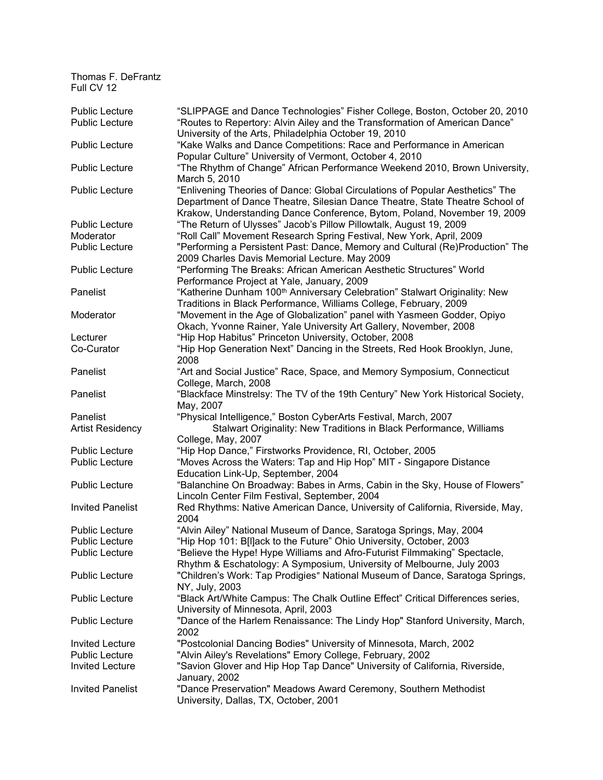| <b>Public Lecture</b>   | "SLIPPAGE and Dance Technologies" Fisher College, Boston, October 20, 2010                                                                                                                                                                                 |
|-------------------------|------------------------------------------------------------------------------------------------------------------------------------------------------------------------------------------------------------------------------------------------------------|
| <b>Public Lecture</b>   | "Routes to Repertory: Alvin Ailey and the Transformation of American Dance"<br>University of the Arts, Philadelphia October 19, 2010                                                                                                                       |
| Public Lecture          | "Kake Walks and Dance Competitions: Race and Performance in American<br>Popular Culture" University of Vermont, October 4, 2010                                                                                                                            |
| <b>Public Lecture</b>   | "The Rhythm of Change" African Performance Weekend 2010, Brown University,                                                                                                                                                                                 |
| <b>Public Lecture</b>   | March 5, 2010<br>"Enlivening Theories of Dance: Global Circulations of Popular Aesthetics" The<br>Department of Dance Theatre, Silesian Dance Theatre, State Theatre School of<br>Krakow, Understanding Dance Conference, Bytom, Poland, November 19, 2009 |
| <b>Public Lecture</b>   | "The Return of Ulysses" Jacob's Pillow Pillowtalk, August 19, 2009                                                                                                                                                                                         |
| Moderator               | "Roll Call" Movement Research Spring Festival, New York, April, 2009                                                                                                                                                                                       |
| Public Lecture          | "Performing a Persistent Past: Dance, Memory and Cultural (Re)Production" The<br>2009 Charles Davis Memorial Lecture. May 2009                                                                                                                             |
| <b>Public Lecture</b>   | "Performing The Breaks: African American Aesthetic Structures" World<br>Performance Project at Yale, January, 2009                                                                                                                                         |
| Panelist                | "Katherine Dunham 100 <sup>th</sup> Anniversary Celebration" Stalwart Originality: New                                                                                                                                                                     |
| Moderator               | Traditions in Black Performance, Williams College, February, 2009<br>"Movement in the Age of Globalization" panel with Yasmeen Godder, Opiyo<br>Okach, Yvonne Rainer, Yale University Art Gallery, November, 2008                                          |
| Lecturer                | "Hip Hop Habitus" Princeton University, October, 2008                                                                                                                                                                                                      |
| Co-Curator              | "Hip Hop Generation Next" Dancing in the Streets, Red Hook Brooklyn, June,<br>2008                                                                                                                                                                         |
| Panelist                | "Art and Social Justice" Race, Space, and Memory Symposium, Connecticut<br>College, March, 2008                                                                                                                                                            |
| Panelist                | "Blackface Minstrelsy: The TV of the 19th Century" New York Historical Society,<br>May, 2007                                                                                                                                                               |
| Panelist                | "Physical Intelligence," Boston CyberArts Festival, March, 2007                                                                                                                                                                                            |
| <b>Artist Residency</b> | Stalwart Originality: New Traditions in Black Performance, Williams<br>College, May, 2007                                                                                                                                                                  |
| Public Lecture          | "Hip Hop Dance," Firstworks Providence, RI, October, 2005                                                                                                                                                                                                  |
| Public Lecture          | "Moves Across the Waters: Tap and Hip Hop" MIT - Singapore Distance<br>Education Link-Up, September, 2004                                                                                                                                                  |
| Public Lecture          | "Balanchine On Broadway: Babes in Arms, Cabin in the Sky, House of Flowers"<br>Lincoln Center Film Festival, September, 2004                                                                                                                               |
| <b>Invited Panelist</b> | Red Rhythms: Native American Dance, University of California, Riverside, May,<br>2004                                                                                                                                                                      |
| <b>Public Lecture</b>   | "Alvin Ailey" National Museum of Dance, Saratoga Springs, May, 2004                                                                                                                                                                                        |
| <b>Public Lecture</b>   | "Hip Hop 101: B[I]ack to the Future" Ohio University, October, 2003                                                                                                                                                                                        |
| <b>Public Lecture</b>   | "Believe the Hype! Hype Williams and Afro-Futurist Filmmaking" Spectacle,                                                                                                                                                                                  |
|                         | Rhythm & Eschatology: A Symposium, University of Melbourne, July 2003                                                                                                                                                                                      |
| <b>Public Lecture</b>   | "Children's Work: Tap Prodigies" National Museum of Dance, Saratoga Springs,<br>NY, July, 2003                                                                                                                                                             |
| <b>Public Lecture</b>   | "Black Art/White Campus: The Chalk Outline Effect" Critical Differences series,<br>University of Minnesota, April, 2003                                                                                                                                    |
| <b>Public Lecture</b>   | "Dance of the Harlem Renaissance: The Lindy Hop" Stanford University, March,<br>2002                                                                                                                                                                       |
| <b>Invited Lecture</b>  | "Postcolonial Dancing Bodies" University of Minnesota, March, 2002                                                                                                                                                                                         |
| <b>Public Lecture</b>   | "Alvin Ailey's Revelations" Emory College, February, 2002                                                                                                                                                                                                  |
| <b>Invited Lecture</b>  | "Savion Glover and Hip Hop Tap Dance" University of California, Riverside,<br>January, 2002                                                                                                                                                                |
| <b>Invited Panelist</b> | "Dance Preservation" Meadows Award Ceremony, Southern Methodist<br>University, Dallas, TX, October, 2001                                                                                                                                                   |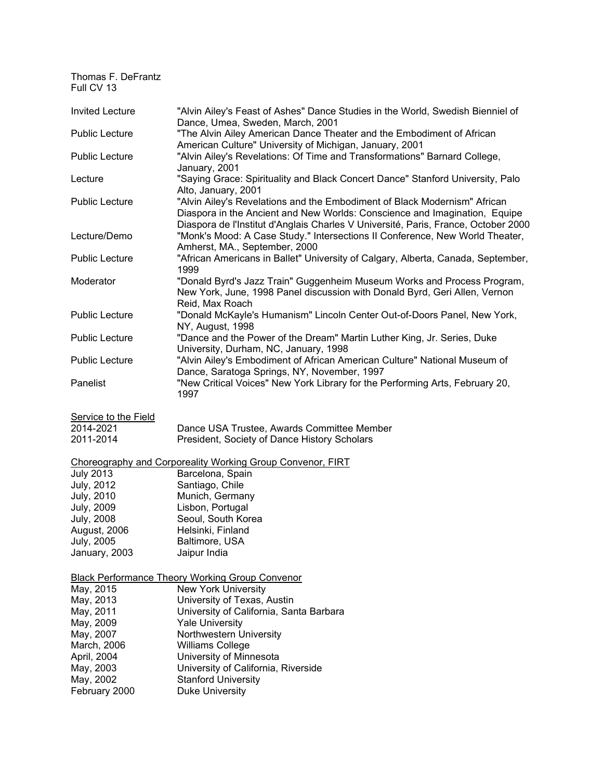| <b>Invited Lecture</b>      | "Alvin Ailey's Feast of Ashes" Dance Studies in the World, Swedish Bienniel of<br>Dance, Umea, Sweden, March, 2001                                                                                                                            |
|-----------------------------|-----------------------------------------------------------------------------------------------------------------------------------------------------------------------------------------------------------------------------------------------|
| <b>Public Lecture</b>       | "The Alvin Ailey American Dance Theater and the Embodiment of African<br>American Culture" University of Michigan, January, 2001                                                                                                              |
| <b>Public Lecture</b>       | "Alvin Ailey's Revelations: Of Time and Transformations" Barnard College,<br>January, 2001                                                                                                                                                    |
| Lecture                     | "Saying Grace: Spirituality and Black Concert Dance" Stanford University, Palo<br>Alto, January, 2001                                                                                                                                         |
| <b>Public Lecture</b>       | "Alvin Ailey's Revelations and the Embodiment of Black Modernism" African<br>Diaspora in the Ancient and New Worlds: Conscience and Imagination, Equipe<br>Diaspora de l'Institut d'Anglais Charles V Université, Paris, France, October 2000 |
| Lecture/Demo                | "Monk's Mood: A Case Study." Intersections II Conference, New World Theater,<br>Amherst, MA., September, 2000                                                                                                                                 |
| <b>Public Lecture</b>       | "African Americans in Ballet" University of Calgary, Alberta, Canada, September,<br>1999                                                                                                                                                      |
| Moderator                   | "Donald Byrd's Jazz Train" Guggenheim Museum Works and Process Program,<br>New York, June, 1998 Panel discussion with Donald Byrd, Geri Allen, Vernon<br>Reid, Max Roach                                                                      |
| <b>Public Lecture</b>       | "Donald McKayle's Humanism" Lincoln Center Out-of-Doors Panel, New York,<br>NY, August, 1998                                                                                                                                                  |
| <b>Public Lecture</b>       | "Dance and the Power of the Dream" Martin Luther King, Jr. Series, Duke<br>University, Durham, NC, January, 1998                                                                                                                              |
| <b>Public Lecture</b>       | "Alvin Ailey's Embodiment of African American Culture" National Museum of<br>Dance, Saratoga Springs, NY, November, 1997                                                                                                                      |
| Panelist                    | "New Critical Voices" New York Library for the Performing Arts, February 20,<br>1997                                                                                                                                                          |
| <b>Service to the Field</b> |                                                                                                                                                                                                                                               |
| 2014-2021<br>2011-2014      | Dance USA Trustee, Awards Committee Member<br>President, Society of Dance History Scholars                                                                                                                                                    |
|                             | Choreography and Corporeality Working Group Convenor, FIRT                                                                                                                                                                                    |
| <b>July 2013</b>            | Barcelona, Spain                                                                                                                                                                                                                              |
| July, 2012                  | Santiago, Chile                                                                                                                                                                                                                               |
| <b>July, 2010</b>           | Munich, Germany                                                                                                                                                                                                                               |
| <b>July, 2009</b>           | Lisbon, Portugal                                                                                                                                                                                                                              |
| <b>July, 2008</b>           | Seoul, South Korea                                                                                                                                                                                                                            |
| August, 2006                | Helsinki, Finland                                                                                                                                                                                                                             |
|                             |                                                                                                                                                                                                                                               |
| July, 2005                  | Baltimore, USA                                                                                                                                                                                                                                |
| January, 2003               | Jaipur India                                                                                                                                                                                                                                  |
|                             | <b>Black Performance Theory Working Group Convenor</b>                                                                                                                                                                                        |
| May, 2015                   | <b>New York University</b>                                                                                                                                                                                                                    |
| May, 2013                   | University of Texas, Austin                                                                                                                                                                                                                   |
| May, 2011                   | University of California, Santa Barbara                                                                                                                                                                                                       |
| May, 2009                   | <b>Yale University</b>                                                                                                                                                                                                                        |
| May, 2007                   | Northwestern University                                                                                                                                                                                                                       |
| March, 2006                 | Williams College                                                                                                                                                                                                                              |
|                             |                                                                                                                                                                                                                                               |
| April, 2004                 | University of Minnesota                                                                                                                                                                                                                       |
| May, 2003                   | University of California, Riverside                                                                                                                                                                                                           |
| May, 2002                   | <b>Stanford University</b>                                                                                                                                                                                                                    |

February 2000 Duke University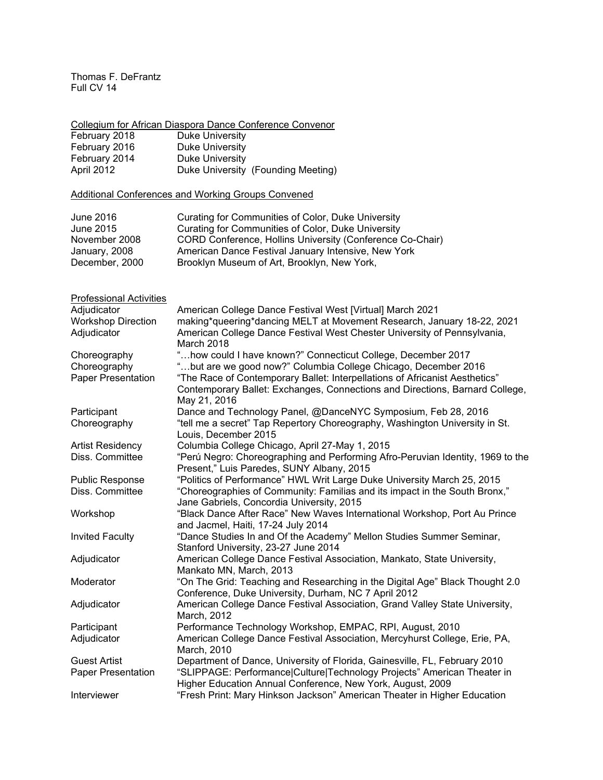Collegium for African Diaspora Dance Conference Convenor February 2018 Duke University February 2016 Duke University February 2014 Duke University

April 2012 **Duke University (Founding Meeting)** 

# Additional Conferences and Working Groups Convened

| June 2016      | <b>Curating for Communities of Color, Duke University</b> |
|----------------|-----------------------------------------------------------|
| June 2015      | Curating for Communities of Color, Duke University        |
| November 2008  | CORD Conference, Hollins University (Conference Co-Chair) |
| January, 2008  | American Dance Festival January Intensive, New York       |
| December, 2000 | Brooklyn Museum of Art, Brooklyn, New York,               |

## Professional Activities

| Adjudicator               | American College Dance Festival West [Virtual] March 2021                      |
|---------------------------|--------------------------------------------------------------------------------|
| <b>Workshop Direction</b> | making*queering*dancing MELT at Movement Research, January 18-22, 2021         |
| Adjudicator               | American College Dance Festival West Chester University of Pennsylvania,       |
|                           | March 2018                                                                     |
| Choreography              | "how could I have known?" Connecticut College, December 2017                   |
| Choreography              | "but are we good now?" Columbia College Chicago, December 2016                 |
| <b>Paper Presentation</b> | "The Race of Contemporary Ballet: Interpellations of Africanist Aesthetics"    |
|                           | Contemporary Ballet: Exchanges, Connections and Directions, Barnard College,   |
|                           | May 21, 2016                                                                   |
| Participant               | Dance and Technology Panel, @DanceNYC Symposium, Feb 28, 2016                  |
| Choreography              | "tell me a secret" Tap Repertory Choreography, Washington University in St.    |
|                           | Louis, December 2015                                                           |
| <b>Artist Residency</b>   | Columbia College Chicago, April 27-May 1, 2015                                 |
| Diss. Committee           | "Perú Negro: Choreographing and Performing Afro-Peruvian Identity, 1969 to the |
|                           | Present," Luis Paredes, SUNY Albany, 2015                                      |
| <b>Public Response</b>    | "Politics of Performance" HWL Writ Large Duke University March 25, 2015        |
| Diss. Committee           | "Choreographies of Community: Familias and its impact in the South Bronx,"     |
|                           | Jane Gabriels, Concordia University, 2015                                      |
| Workshop                  | "Black Dance After Race" New Waves International Workshop, Port Au Prince      |
|                           | and Jacmel, Haiti, 17-24 July 2014                                             |
| <b>Invited Faculty</b>    | "Dance Studies In and Of the Academy" Mellon Studies Summer Seminar,           |
|                           | Stanford University, 23-27 June 2014                                           |
| Adjudicator               | American College Dance Festival Association, Mankato, State University,        |
|                           | Mankato MN, March, 2013                                                        |
| Moderator                 | "On The Grid: Teaching and Researching in the Digital Age" Black Thought 2.0   |
|                           | Conference, Duke University, Durham, NC 7 April 2012                           |
| Adjudicator               | American College Dance Festival Association, Grand Valley State University,    |
|                           | March, 2012                                                                    |
| Participant               | Performance Technology Workshop, EMPAC, RPI, August, 2010                      |
| Adjudicator               | American College Dance Festival Association, Mercyhurst College, Erie, PA,     |
|                           | March, 2010                                                                    |
| <b>Guest Artist</b>       | Department of Dance, University of Florida, Gainesville, FL, February 2010     |
| <b>Paper Presentation</b> | "SLIPPAGE: Performance Culture Technology Projects" American Theater in        |
|                           | Higher Education Annual Conference, New York, August, 2009                     |
| Interviewer               | "Fresh Print: Mary Hinkson Jackson" American Theater in Higher Education       |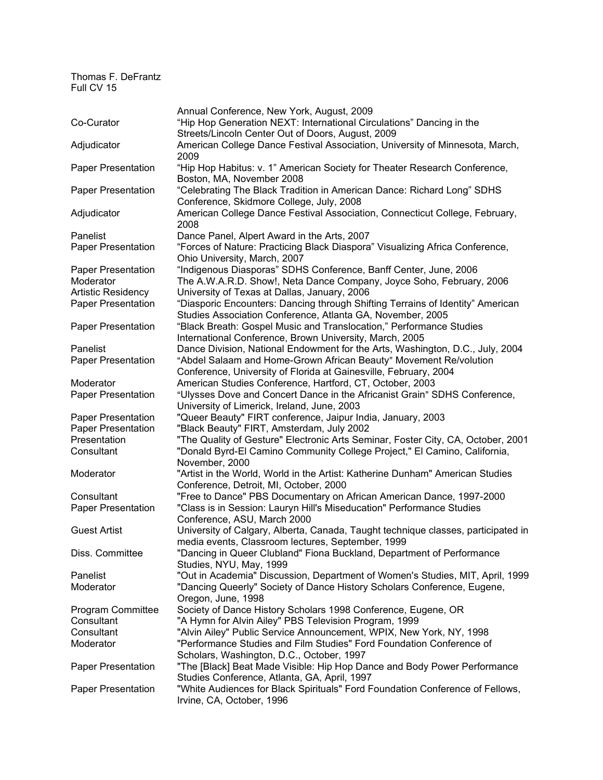|                           | Annual Conference, New York, August, 2009                                         |
|---------------------------|-----------------------------------------------------------------------------------|
| Co-Curator                | "Hip Hop Generation NEXT: International Circulations" Dancing in the              |
|                           | Streets/Lincoln Center Out of Doors, August, 2009                                 |
| Adjudicator               | American College Dance Festival Association, University of Minnesota, March,      |
|                           | 2009                                                                              |
| Paper Presentation        | "Hip Hop Habitus: v. 1" American Society for Theater Research Conference,         |
|                           | Boston, MA, November 2008                                                         |
| Paper Presentation        | "Celebrating The Black Tradition in American Dance: Richard Long" SDHS            |
|                           | Conference, Skidmore College, July, 2008                                          |
| Adjudicator               | American College Dance Festival Association, Connecticut College, February,       |
|                           | 2008                                                                              |
| Panelist                  | Dance Panel, Alpert Award in the Arts, 2007                                       |
| Paper Presentation        | "Forces of Nature: Practicing Black Diaspora" Visualizing Africa Conference,      |
|                           | Ohio University, March, 2007                                                      |
| Paper Presentation        | "Indigenous Diasporas" SDHS Conference, Banff Center, June, 2006                  |
| Moderator                 | The A.W.A.R.D. Show!, Neta Dance Company, Joyce Soho, February, 2006              |
| Artistic Residency        | University of Texas at Dallas, January, 2006                                      |
| Paper Presentation        | "Diasporic Encounters: Dancing through Shifting Terrains of Identity" American    |
|                           | Studies Association Conference, Atlanta GA, November, 2005                        |
| Paper Presentation        | "Black Breath: Gospel Music and Translocation," Performance Studies               |
|                           | International Conference, Brown University, March, 2005                           |
| Panelist                  | Dance Division, National Endowment for the Arts, Washington, D.C., July, 2004     |
|                           |                                                                                   |
| Paper Presentation        | "Abdel Salaam and Home-Grown African Beauty" Movement Re/volution                 |
|                           | Conference, University of Florida at Gainesville, February, 2004                  |
| Moderator                 | American Studies Conference, Hartford, CT, October, 2003                          |
| <b>Paper Presentation</b> | "Ulysses Dove and Concert Dance in the Africanist Grain" SDHS Conference,         |
|                           | University of Limerick, Ireland, June, 2003                                       |
| Paper Presentation        | "Queer Beauty" FIRT conference, Jaipur India, January, 2003                       |
| <b>Paper Presentation</b> | "Black Beauty" FIRT, Amsterdam, July 2002                                         |
| Presentation              | "The Quality of Gesture" Electronic Arts Seminar, Foster City, CA, October, 2001  |
| Consultant                | "Donald Byrd-El Camino Community College Project," El Camino, California,         |
|                           | November, 2000                                                                    |
| Moderator                 | "Artist in the World, World in the Artist: Katherine Dunham" American Studies     |
|                           | Conference, Detroit, MI, October, 2000                                            |
| Consultant                | "Free to Dance" PBS Documentary on African American Dance, 1997-2000              |
| Paper Presentation        | "Class is in Session: Lauryn Hill's Miseducation" Performance Studies             |
|                           | Conference, ASU, March 2000                                                       |
| <b>Guest Artist</b>       | University of Calgary, Alberta, Canada, Taught technique classes, participated in |
|                           | media events, Classroom lectures, September, 1999                                 |
| Diss. Committee           | "Dancing in Queer Clubland" Fiona Buckland, Department of Performance             |
|                           | Studies, NYU, May, 1999                                                           |
| Panelist                  | "Out in Academia" Discussion, Department of Women's Studies, MIT, April, 1999     |
| Moderator                 | "Dancing Queerly" Society of Dance History Scholars Conference, Eugene,           |
|                           |                                                                                   |
|                           | Oregon, June, 1998                                                                |
| Program Committee         | Society of Dance History Scholars 1998 Conference, Eugene, OR                     |
| Consultant                | "A Hymn for Alvin Ailey" PBS Television Program, 1999                             |
| Consultant                | "Alvin Ailey" Public Service Announcement, WPIX, New York, NY, 1998               |
| Moderator                 | "Performance Studies and Film Studies" Ford Foundation Conference of              |
|                           | Scholars, Washington, D.C., October, 1997                                         |
| <b>Paper Presentation</b> | "The [Black] Beat Made Visible: Hip Hop Dance and Body Power Performance          |
|                           | Studies Conference, Atlanta, GA, April, 1997                                      |
| <b>Paper Presentation</b> | "White Audiences for Black Spirituals" Ford Foundation Conference of Fellows,     |
|                           | Irvine, CA, October, 1996                                                         |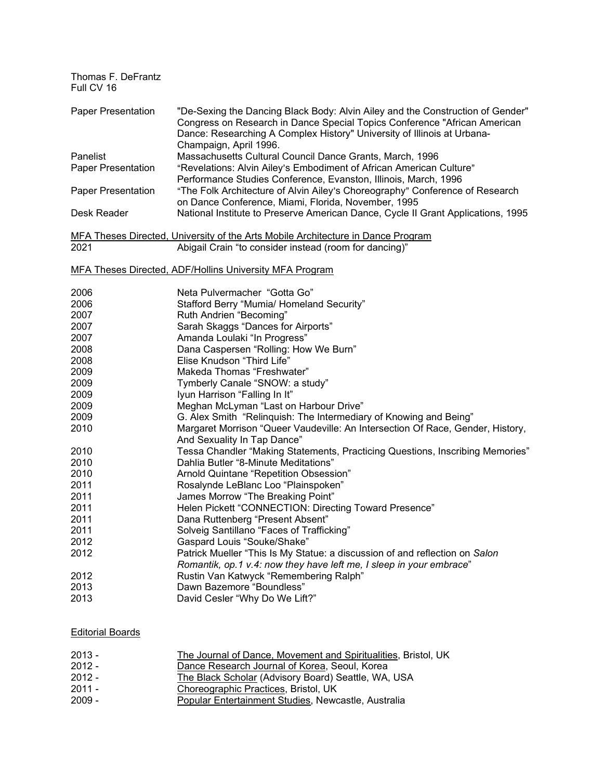| Thomas F. DeFrantz<br>Full CV 16 |                                                                                                                                                                                                                                                                  |
|----------------------------------|------------------------------------------------------------------------------------------------------------------------------------------------------------------------------------------------------------------------------------------------------------------|
| <b>Paper Presentation</b>        | "De-Sexing the Dancing Black Body: Alvin Ailey and the Construction of Gender"<br>Congress on Research in Dance Special Topics Conference "African American<br>Dance: Researching A Complex History" University of Illinois at Urbana-<br>Champaign, April 1996. |
| Panelist                         | Massachusetts Cultural Council Dance Grants, March, 1996                                                                                                                                                                                                         |
| Paper Presentation               | "Revelations: Alvin Ailey's Embodiment of African American Culture"<br>Performance Studies Conference, Evanston, Illinois, March, 1996                                                                                                                           |
| <b>Paper Presentation</b>        | "The Folk Architecture of Alvin Ailey's Choreography" Conference of Research<br>on Dance Conference, Miami, Florida, November, 1995                                                                                                                              |
| Desk Reader                      | National Institute to Preserve American Dance, Cycle II Grant Applications, 1995                                                                                                                                                                                 |
|                                  | MFA Theses Directed, University of the Arts Mobile Architecture in Dance Program                                                                                                                                                                                 |
| 2021                             | Abigail Crain "to consider instead (room for dancing)"                                                                                                                                                                                                           |
|                                  | MFA Theses Directed, ADF/Hollins University MFA Program                                                                                                                                                                                                          |
| 2006                             | Neta Pulvermacher "Gotta Go"                                                                                                                                                                                                                                     |
| 2006                             | Stafford Berry "Mumia/ Homeland Security"                                                                                                                                                                                                                        |
| 2007                             | Ruth Andrien "Becoming"                                                                                                                                                                                                                                          |
| 2007                             | Sarah Skaggs "Dances for Airports"                                                                                                                                                                                                                               |
| 2007                             | Amanda Loulaki "In Progress"                                                                                                                                                                                                                                     |
| 2008                             | Dana Caspersen "Rolling: How We Burn"                                                                                                                                                                                                                            |
| 2008                             | Elise Knudson "Third Life"                                                                                                                                                                                                                                       |
| 2009                             | Makeda Thomas "Freshwater"                                                                                                                                                                                                                                       |
| 2009                             | Tymberly Canale "SNOW: a study"                                                                                                                                                                                                                                  |
| 2009                             | Iyun Harrison "Falling In It"                                                                                                                                                                                                                                    |
| 2009                             | Meghan McLyman "Last on Harbour Drive"                                                                                                                                                                                                                           |
| 2009                             | G. Alex Smith "Relinquish: The Intermediary of Knowing and Being"                                                                                                                                                                                                |
| 2010                             | Margaret Morrison "Queer Vaudeville: An Intersection Of Race, Gender, History,<br>And Sexuality In Tap Dance"                                                                                                                                                    |
| 2010                             | Tessa Chandler "Making Statements, Practicing Questions, Inscribing Memories"                                                                                                                                                                                    |
| 2010                             | Dahlia Butler "8-Minute Meditations"                                                                                                                                                                                                                             |
| 2010                             | Arnold Quintane "Repetition Obsession"                                                                                                                                                                                                                           |
| 2011                             | Rosalynde LeBlanc Loo "Plainspoken"                                                                                                                                                                                                                              |
| 2011                             | James Morrow "The Breaking Point"                                                                                                                                                                                                                                |
| 2011                             | Helen Pickett "CONNECTION: Directing Toward Presence"                                                                                                                                                                                                            |
| 2011                             | Dana Ruttenberg "Present Absent"                                                                                                                                                                                                                                 |
| 2011                             | Solveig Santillano "Faces of Trafficking"                                                                                                                                                                                                                        |
| 2012                             | Gaspard Louis "Souke/Shake"                                                                                                                                                                                                                                      |
| 2012                             | Patrick Mueller "This Is My Statue: a discussion of and reflection on Salon<br>Romantik, op.1 v.4: now they have left me, I sleep in your embrace"                                                                                                               |
| 2012                             | Rustin Van Katwyck "Remembering Ralph"                                                                                                                                                                                                                           |
| 2013                             | Dawn Bazemore "Boundless"                                                                                                                                                                                                                                        |
| 2013                             | David Cesler "Why Do We Lift?"                                                                                                                                                                                                                                   |
|                                  |                                                                                                                                                                                                                                                                  |

# Editorial Boards

| $2013 -$ | The Journal of Dance, Movement and Spiritualities, Bristol, UK |
|----------|----------------------------------------------------------------|
| $2012 -$ | Dance Research Journal of Korea, Seoul, Korea                  |
| $2012 -$ | The Black Scholar (Advisory Board) Seattle, WA, USA            |
| 2011 -   | Choreographic Practices, Bristol, UK                           |
| $2009 -$ | Popular Entertainment Studies, Newcastle, Australia            |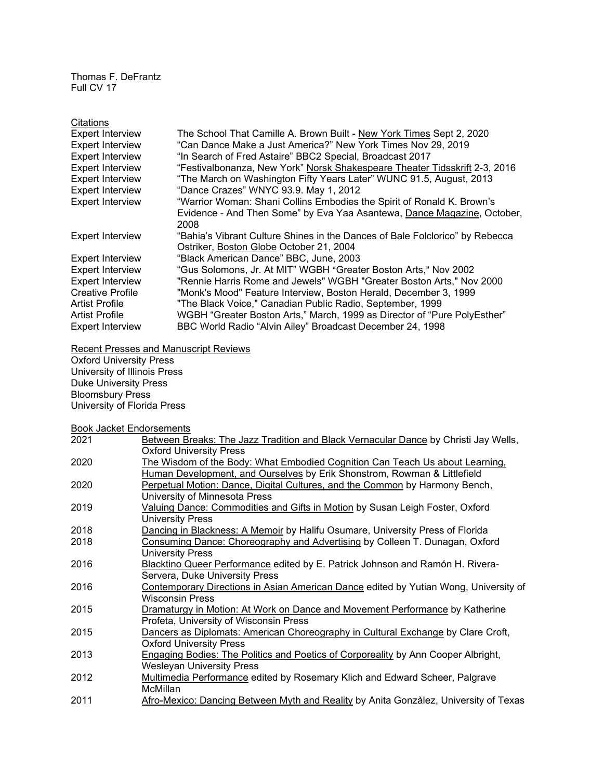| Citations               |                                                                              |
|-------------------------|------------------------------------------------------------------------------|
| <b>Expert Interview</b> | The School That Camille A. Brown Built - New York Times Sept 2, 2020         |
| <b>Expert Interview</b> | "Can Dance Make a Just America?" New York Times Nov 29, 2019                 |
| <b>Expert Interview</b> | "In Search of Fred Astaire" BBC2 Special, Broadcast 2017                     |
| <b>Expert Interview</b> | "Festivalbonanza, New York" Norsk Shakespeare Theater Tidsskrift 2-3, 2016   |
| <b>Expert Interview</b> | "The March on Washington Fifty Years Later" WUNC 91.5, August, 2013          |
| <b>Expert Interview</b> | "Dance Crazes" WNYC 93.9. May 1, 2012                                        |
| <b>Expert Interview</b> | "Warrior Woman: Shani Collins Embodies the Spirit of Ronald K. Brown's       |
|                         | Evidence - And Then Some" by Eva Yaa Asantewa, Dance Magazine, October,      |
|                         | 2008                                                                         |
| <b>Expert Interview</b> | "Bahia's Vibrant Culture Shines in the Dances of Bale Folclorico" by Rebecca |
|                         | Ostriker, Boston Globe October 21, 2004                                      |
| <b>Expert Interview</b> | "Black American Dance" BBC, June, 2003                                       |
| <b>Expert Interview</b> | "Gus Solomons, Jr. At MIT" WGBH "Greater Boston Arts," Nov 2002              |
| <b>Expert Interview</b> | "Rennie Harris Rome and Jewels" WGBH "Greater Boston Arts," Nov 2000         |
| <b>Creative Profile</b> | "Monk's Mood" Feature Interview, Boston Herald, December 3, 1999             |
| <b>Artist Profile</b>   | "The Black Voice," Canadian Public Radio, September, 1999                    |
| <b>Artist Profile</b>   | WGBH "Greater Boston Arts," March, 1999 as Director of "Pure PolyEsther"     |
| <b>Expert Interview</b> | BBC World Radio "Alvin Ailey" Broadcast December 24, 1998                    |

Recent Presses and Manuscript Reviews

Oxford University Press University of Illinois Press Duke University Press Bloomsbury Press University of Florida Press

Book Jacket Endorsements

| 2021 | Between Breaks: The Jazz Tradition and Black Vernacular Dance by Christi Jay Wells,  |
|------|--------------------------------------------------------------------------------------|
|      | <b>Oxford University Press</b>                                                       |
| 2020 | The Wisdom of the Body: What Embodied Cognition Can Teach Us about Learning,         |
|      | Human Development, and Ourselves by Erik Shonstrom, Rowman & Littlefield             |
| 2020 | Perpetual Motion: Dance, Digital Cultures, and the Common by Harmony Bench,          |
|      | University of Minnesota Press                                                        |
| 2019 | Valuing Dance: Commodities and Gifts in Motion by Susan Leigh Foster, Oxford         |
|      | University Press                                                                     |
| 2018 | Dancing in Blackness: A Memoir by Halifu Osumare, University Press of Florida        |
| 2018 | Consuming Dance: Choreography and Advertising by Colleen T. Dunagan, Oxford          |
|      | <b>University Press</b>                                                              |
| 2016 | Blacktino Queer Performance edited by E. Patrick Johnson and Ramón H. Rivera-        |
|      | Servera, Duke University Press                                                       |
| 2016 | Contemporary Directions in Asian American Dance edited by Yutian Wong, University of |
|      | <b>Wisconsin Press</b>                                                               |
| 2015 | Dramaturgy in Motion: At Work on Dance and Movement Performance by Katherine         |
|      | Profeta, University of Wisconsin Press                                               |
| 2015 | Dancers as Diplomats: American Choreography in Cultural Exchange by Clare Croft,     |
|      | <b>Oxford University Press</b>                                                       |
| 2013 | Engaging Bodies: The Politics and Poetics of Corporeality by Ann Cooper Albright,    |
|      | <b>Wesleyan University Press</b>                                                     |
| 2012 | Multimedia Performance edited by Rosemary Klich and Edward Scheer, Palgrave          |
|      | McMillan                                                                             |
| 2011 | Afro-Mexico: Dancing Between Myth and Reality by Anita Gonzàlez, University of Texas |